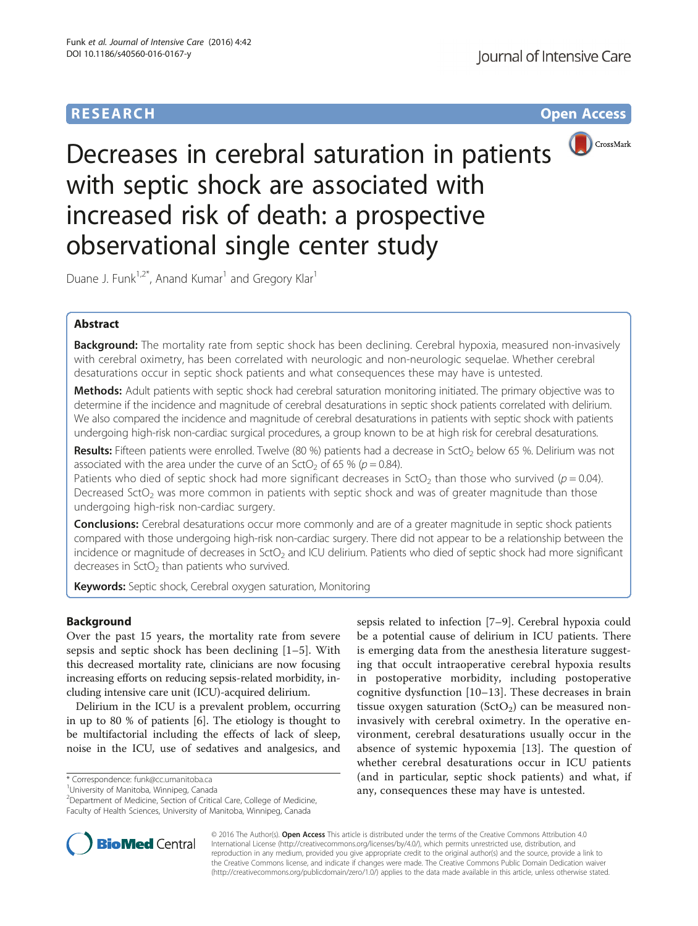# **RESEARCH CHILD CONTROL** CONTROL CONTROL CONTROL CONTROL CONTROL CONTROL CONTROL CONTROL CONTROL CONTROL CONTROL CONTROL CONTROL CONTROL CONTROL CONTROL CONTROL CONTROL CONTROL CONTROL CONTROL CONTROL CONTROL CONTROL CONTR



Decreases in cerebral saturation in patients with septic shock are associated with increased risk of death: a prospective observational single center study

Duane J. Funk<sup>1,2\*</sup>, Anand Kumar<sup>1</sup> and Gregory Klar<sup>1</sup>

# Abstract

Background: The mortality rate from septic shock has been declining. Cerebral hypoxia, measured non-invasively with cerebral oximetry, has been correlated with neurologic and non-neurologic sequelae. Whether cerebral desaturations occur in septic shock patients and what consequences these may have is untested.

Methods: Adult patients with septic shock had cerebral saturation monitoring initiated. The primary objective was to determine if the incidence and magnitude of cerebral desaturations in septic shock patients correlated with delirium. We also compared the incidence and magnitude of cerebral desaturations in patients with septic shock with patients undergoing high-risk non-cardiac surgical procedures, a group known to be at high risk for cerebral desaturations.

Results: Fifteen patients were enrolled. Twelve (80 %) patients had a decrease in SctO<sub>2</sub> below 65 %. Delirium was not associated with the area under the curve of an SctO<sub>2</sub> of 65 % ( $p = 0.84$ ).

Patients who died of septic shock had more significant decreases in SctO<sub>2</sub> than those who survived ( $p = 0.04$ ). Decreased SctO<sub>2</sub> was more common in patients with septic shock and was of greater magnitude than those undergoing high-risk non-cardiac surgery.

**Conclusions:** Cerebral desaturations occur more commonly and are of a greater magnitude in septic shock patients compared with those undergoing high-risk non-cardiac surgery. There did not appear to be a relationship between the incidence or magnitude of decreases in SctO<sub>2</sub> and ICU delirium. Patients who died of septic shock had more significant decreases in  $SctO<sub>2</sub>$  than patients who survived.

Keywords: Septic shock, Cerebral oxygen saturation, Monitoring

# Background

Over the past 15 years, the mortality rate from severe sepsis and septic shock has been declining [\[1](#page-6-0)–[5](#page-6-0)]. With this decreased mortality rate, clinicians are now focusing increasing efforts on reducing sepsis-related morbidity, including intensive care unit (ICU)-acquired delirium.

Delirium in the ICU is a prevalent problem, occurring in up to 80 % of patients [[6\]](#page-6-0). The etiology is thought to be multifactorial including the effects of lack of sleep, noise in the ICU, use of sedatives and analgesics, and

\* Correspondence: [funk@cc.umanitoba.ca](mailto:funk@cc.umanitoba.ca) <sup>1</sup>

<sup>1</sup>University of Manitoba, Winnipeg, Canada

<sup>2</sup>Department of Medicine, Section of Critical Care, College of Medicine, Faculty of Health Sciences, University of Manitoba, Winnipeg, Canada

sepsis related to infection [[7](#page-6-0)–[9](#page-6-0)]. Cerebral hypoxia could be a potential cause of delirium in ICU patients. There is emerging data from the anesthesia literature suggesting that occult intraoperative cerebral hypoxia results in postoperative morbidity, including postoperative cognitive dysfunction [[10](#page-6-0)–[13\]](#page-6-0). These decreases in brain tissue oxygen saturation ( $SctO<sub>2</sub>$ ) can be measured noninvasively with cerebral oximetry. In the operative environment, cerebral desaturations usually occur in the absence of systemic hypoxemia [[13\]](#page-6-0). The question of whether cerebral desaturations occur in ICU patients (and in particular, septic shock patients) and what, if any, consequences these may have is untested.



© 2016 The Author(s). Open Access This article is distributed under the terms of the Creative Commons Attribution 4.0 International License [\(http://creativecommons.org/licenses/by/4.0/](http://creativecommons.org/licenses/by/4.0/)), which permits unrestricted use, distribution, and reproduction in any medium, provided you give appropriate credit to the original author(s) and the source, provide a link to the Creative Commons license, and indicate if changes were made. The Creative Commons Public Domain Dedication waiver [\(http://creativecommons.org/publicdomain/zero/1.0/](http://creativecommons.org/publicdomain/zero/1.0/)) applies to the data made available in this article, unless otherwise stated.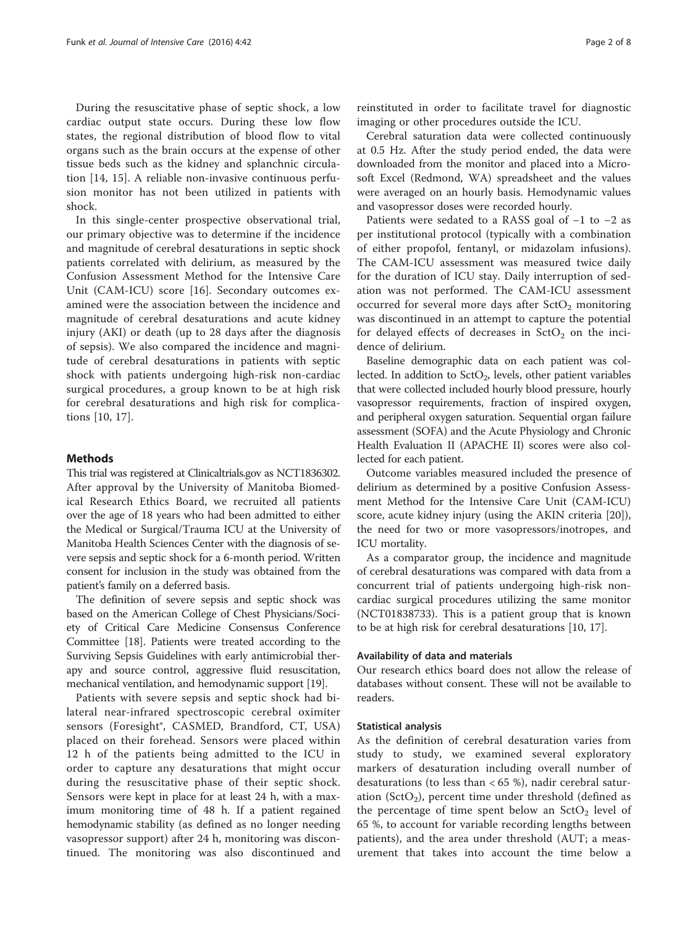During the resuscitative phase of septic shock, a low cardiac output state occurs. During these low flow states, the regional distribution of blood flow to vital organs such as the brain occurs at the expense of other tissue beds such as the kidney and splanchnic circulation [[14, 15\]](#page-6-0). A reliable non-invasive continuous perfusion monitor has not been utilized in patients with shock.

In this single-center prospective observational trial, our primary objective was to determine if the incidence and magnitude of cerebral desaturations in septic shock patients correlated with delirium, as measured by the Confusion Assessment Method for the Intensive Care Unit (CAM-ICU) score [\[16](#page-6-0)]. Secondary outcomes examined were the association between the incidence and magnitude of cerebral desaturations and acute kidney injury (AKI) or death (up to 28 days after the diagnosis of sepsis). We also compared the incidence and magnitude of cerebral desaturations in patients with septic shock with patients undergoing high-risk non-cardiac surgical procedures, a group known to be at high risk for cerebral desaturations and high risk for complications [\[10](#page-6-0), [17\]](#page-6-0).

## Methods

This trial was registered at Clinicaltrials.gov as NCT1836302. After approval by the University of Manitoba Biomedical Research Ethics Board, we recruited all patients over the age of 18 years who had been admitted to either the Medical or Surgical/Trauma ICU at the University of Manitoba Health Sciences Center with the diagnosis of severe sepsis and septic shock for a 6-month period. Written consent for inclusion in the study was obtained from the patient's family on a deferred basis.

The definition of severe sepsis and septic shock was based on the American College of Chest Physicians/Society of Critical Care Medicine Consensus Conference Committee [\[18](#page-6-0)]. Patients were treated according to the Surviving Sepsis Guidelines with early antimicrobial therapy and source control, aggressive fluid resuscitation, mechanical ventilation, and hemodynamic support [[19](#page-6-0)].

Patients with severe sepsis and septic shock had bilateral near-infrared spectroscopic cerebral oximiter sensors (Foresight®, CASMED, Brandford, CT, USA) placed on their forehead. Sensors were placed within 12 h of the patients being admitted to the ICU in order to capture any desaturations that might occur during the resuscitative phase of their septic shock. Sensors were kept in place for at least 24 h, with a maximum monitoring time of 48 h. If a patient regained hemodynamic stability (as defined as no longer needing vasopressor support) after 24 h, monitoring was discontinued. The monitoring was also discontinued and

reinstituted in order to facilitate travel for diagnostic imaging or other procedures outside the ICU.

Cerebral saturation data were collected continuously at 0.5 Hz. After the study period ended, the data were downloaded from the monitor and placed into a Microsoft Excel (Redmond, WA) spreadsheet and the values were averaged on an hourly basis. Hemodynamic values and vasopressor doses were recorded hourly.

Patients were sedated to a RASS goal of −1 to −2 as per institutional protocol (typically with a combination of either propofol, fentanyl, or midazolam infusions). The CAM-ICU assessment was measured twice daily for the duration of ICU stay. Daily interruption of sedation was not performed. The CAM-ICU assessment occurred for several more days after  $SctO<sub>2</sub>$  monitoring was discontinued in an attempt to capture the potential for delayed effects of decreases in  $SctO<sub>2</sub>$  on the incidence of delirium.

Baseline demographic data on each patient was collected. In addition to  $SctO<sub>2</sub>$ , levels, other patient variables that were collected included hourly blood pressure, hourly vasopressor requirements, fraction of inspired oxygen, and peripheral oxygen saturation. Sequential organ failure assessment (SOFA) and the Acute Physiology and Chronic Health Evaluation II (APACHE II) scores were also collected for each patient.

Outcome variables measured included the presence of delirium as determined by a positive Confusion Assessment Method for the Intensive Care Unit (CAM-ICU) score, acute kidney injury (using the AKIN criteria [\[20](#page-6-0)]), the need for two or more vasopressors/inotropes, and ICU mortality.

As a comparator group, the incidence and magnitude of cerebral desaturations was compared with data from a concurrent trial of patients undergoing high-risk noncardiac surgical procedures utilizing the same monitor (NCT01838733). This is a patient group that is known to be at high risk for cerebral desaturations [\[10](#page-6-0), [17\]](#page-6-0).

## Availability of data and materials

Our research ethics board does not allow the release of databases without consent. These will not be available to readers.

### Statistical analysis

As the definition of cerebral desaturation varies from study to study, we examined several exploratory markers of desaturation including overall number of desaturations (to less than < 65 %), nadir cerebral saturation (SctO<sub>2</sub>), percent time under threshold (defined as the percentage of time spent below an  $StO<sub>2</sub>$  level of 65 %, to account for variable recording lengths between patients), and the area under threshold (AUT; a measurement that takes into account the time below a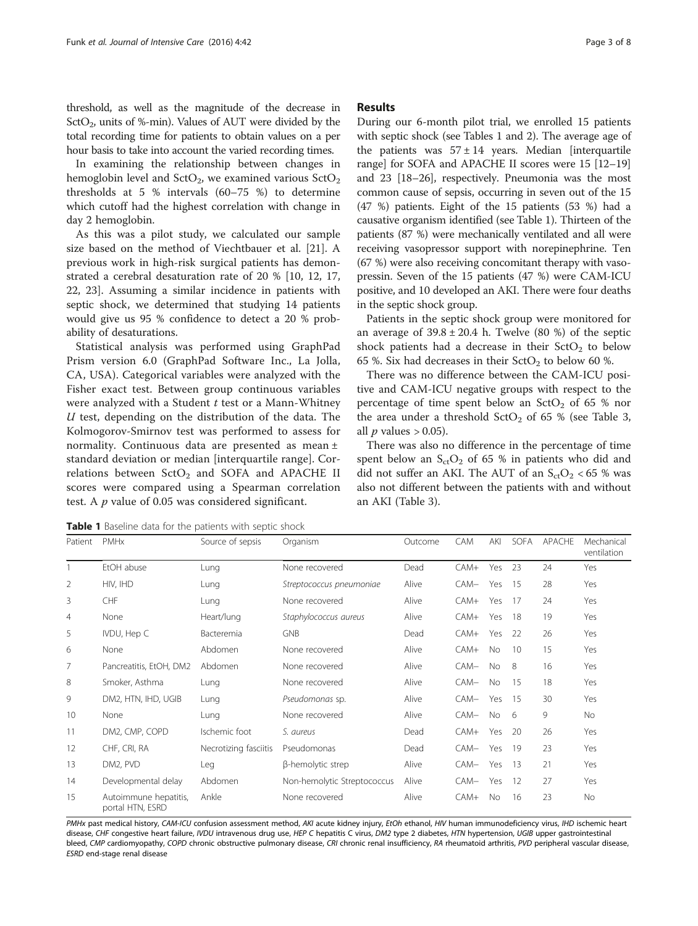threshold, as well as the magnitude of the decrease in SctO<sub>2</sub>, units of %-min). Values of AUT were divided by the total recording time for patients to obtain values on a per hour basis to take into account the varied recording times.

In examining the relationship between changes in hemoglobin level and  $SctO<sub>2</sub>$ , we examined various  $SctO<sub>2</sub>$ thresholds at 5 % intervals (60–75 %) to determine which cutoff had the highest correlation with change in day 2 hemoglobin.

As this was a pilot study, we calculated our sample size based on the method of Viechtbauer et al. [\[21](#page-6-0)]. A previous work in high-risk surgical patients has demonstrated a cerebral desaturation rate of 20 % [[10, 12, 17](#page-6-0), [22,](#page-6-0) [23](#page-7-0)]. Assuming a similar incidence in patients with septic shock, we determined that studying 14 patients would give us 95 % confidence to detect a 20 % probability of desaturations.

Statistical analysis was performed using GraphPad Prism version 6.0 (GraphPad Software Inc., La Jolla, CA, USA). Categorical variables were analyzed with the Fisher exact test. Between group continuous variables were analyzed with a Student  $t$  test or a Mann-Whitney  $U$  test, depending on the distribution of the data. The Kolmogorov-Smirnov test was performed to assess for normality. Continuous data are presented as mean ± standard deviation or median [interquartile range]. Correlations between  $SctO<sub>2</sub>$  and SOFA and APACHE II scores were compared using a Spearman correlation test. A  $p$  value of 0.05 was considered significant.

ventilation

### Results

During our 6-month pilot trial, we enrolled 15 patients with septic shock (see Tables 1 and [2](#page-3-0)). The average age of the patients was  $57 \pm 14$  years. Median [interquartile] range] for SOFA and APACHE II scores were 15 [12–19] and 23 [18–26], respectively. Pneumonia was the most common cause of sepsis, occurring in seven out of the 15 (47 %) patients. Eight of the 15 patients (53 %) had a causative organism identified (see Table 1). Thirteen of the patients (87 %) were mechanically ventilated and all were receiving vasopressor support with norepinephrine. Ten (67 %) were also receiving concomitant therapy with vasopressin. Seven of the 15 patients (47 %) were CAM-ICU positive, and 10 developed an AKI. There were four deaths in the septic shock group.

Patients in the septic shock group were monitored for an average of  $39.8 \pm 20.4$  h. Twelve (80 %) of the septic shock patients had a decrease in their  $SctO<sub>2</sub>$  to below 65 %. Six had decreases in their  $StO<sub>2</sub>$  to below 60 %.

There was no difference between the CAM-ICU positive and CAM-ICU negative groups with respect to the percentage of time spent below an  $SctO<sub>2</sub>$  of 65 % nor the area under a threshold  $SctO<sub>2</sub>$  of 65 % (see Table [3](#page-3-0), all  $p$  values  $> 0.05$ ).

There was also no difference in the percentage of time spent below an  $S_{ct}O_2$  of 65 % in patients who did and did not suffer an AKI. The AUT of an  $S_{cr}O_2$  < 65 % was also not different between the patients with and without an AKI (Table [3](#page-3-0)).

**Table 1** Baseline data for the patients with septic shock

1 EtOH abuse Lung None recovered Dead CAM+ Yes 23 24 Yes 2 HIV, IHD Lung Streptococcus pneumoniae Alive CAM− Yes 15 28 Yes 3 CHF Lung None recovered Alive CAM+ Yes 17 24 Yes 4 None Heart/lung Staphylococcus aureus Alive CAM+ Yes 18 19 Yes 5 IVDU, Hep C Bacteremia GNB Dead CAM+ Yes 22 26 Yes 6 None Abdomen None recovered Alive CAM+ No 10 15 Yes 7 Pancreatitis, EtOH, DM2 Abdomen None recovered Alive CAM− No 8 16 Yes 8 Smoker, Asthma Lung None recovered Alive CAM− No 15 18 Yes 9 DM2, HTN, IHD, UGIB Lung *Pseudomonas* sp. Alive CAM− Yes 15 30 Yes 10 None Lung None recovered Alive CAM− No 6 9 No 11 DM2, CMP, COPD Ischemic foot S. aureus Company Dead CAM+ Yes 20 26 Yes 12 CHF, CRI, RA Necrotizing fasciitis Pseudomonas Dead CAM− Yes 19 23 Yes 13 DM2, PVD Leg β-hemolytic strep Alive CAM- Yes 13 21 Yes 14 Developmental delay Abdomen Non-hemolytic Streptococcus Alive CAM− Yes 12 27 Yes 15 Autoimmune hepatitis, portal HTN, ESRD Ankle None recovered Alive CAM+ No 16 23 No

Patient PMHx Source of sepsis Organism Outcome CAM AKI SOFA APACHE Mechanical

PMHx past medical history, CAM-ICU confusion assessment method, AKI acute kidney injury, EtOh ethanol, HIV human immunodeficiency virus, IHD ischemic heart disease, CHF congestive heart failure, IVDU intravenous drug use, HEP C hepatitis C virus, DM2 type 2 diabetes, HTN hypertension, UGIB upper gastrointestinal bleed, CMP cardiomyopathy, COPD chronic obstructive pulmonary disease, CRI chronic renal insufficiency, RA rheumatoid arthritis, PVD peripheral vascular disease, ESRD end-stage renal disease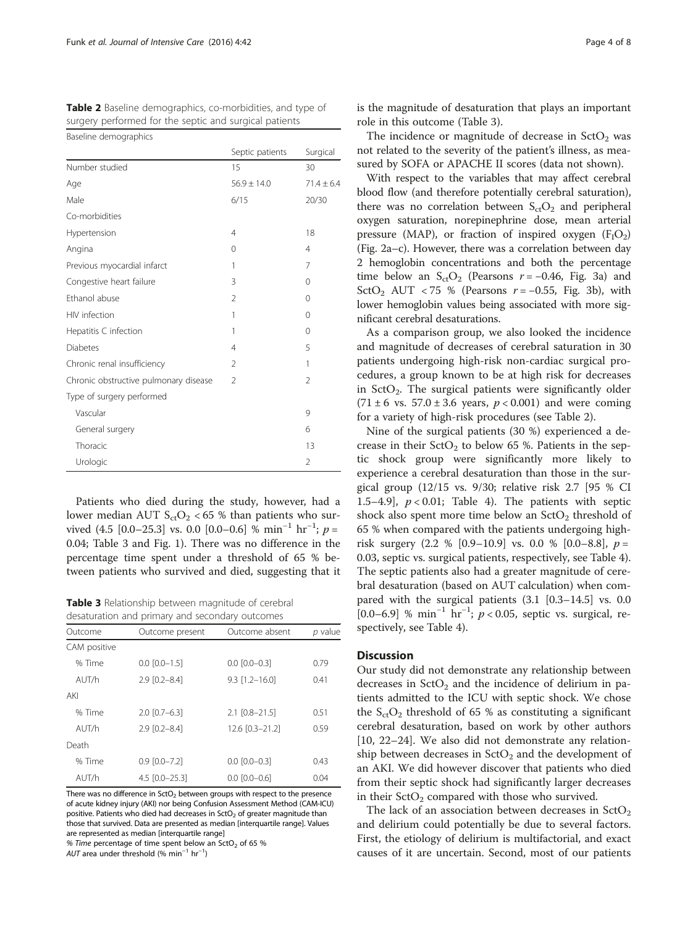<span id="page-3-0"></span>Table 2 Baseline demographics, co-morbidities, and type of surgery performed for the septic and surgical patients

| Baseline demographics                 |                 |                |
|---------------------------------------|-----------------|----------------|
|                                       | Septic patients | Surgical       |
| Number studied                        | 15              | 30             |
| Age                                   | $56.9 \pm 14.0$ | $71.4 \pm 6.4$ |
| Male                                  | 6/15            | 20/30          |
| Co-morbidities                        |                 |                |
| Hypertension                          | 4               | 18             |
| Angina                                | 0               | $\overline{4}$ |
| Previous myocardial infarct           | 1               | 7              |
| Congestive heart failure              | 3               | $\Omega$       |
| Ethanol abuse                         | 2               | $\Omega$       |
| HIV infection                         | 1               | $\Omega$       |
| Hepatitis C infection                 | 1               | $\Omega$       |
| <b>Diabetes</b>                       | 4               | 5              |
| Chronic renal insufficiency           | $\mathfrak{D}$  | 1              |
| Chronic obstructive pulmonary disease | $\mathfrak{D}$  | $\mathfrak{D}$ |
| Type of surgery performed             |                 |                |
| Vascular                              |                 | 9              |
| General surgery                       |                 | 6              |
| Thoracic                              |                 | 13             |
| Urologic                              |                 | $\overline{2}$ |

Patients who died during the study, however, had a lower median AUT  $S_{ct}O_2$  < 65 % than patients who survived  $(4.5 \, [0.0-25.3]$  vs. 0.0  $[0.0-0.6]$  %  $\min^{-1}$   $\text{hr}^{-1}$ ;  $p =$ 0.04; Table 3 and Fig. [1](#page-4-0)). There was no difference in the percentage time spent under a threshold of 65 % between patients who survived and died, suggesting that it

Table 3 Relationship between magnitude of cerebral desaturation and primary and secondary outcomes

| acsatalation and primary and secondary oatcomes |                      |                      |         |  |  |
|-------------------------------------------------|----------------------|----------------------|---------|--|--|
| Outcome                                         | Outcome present      | Outcome absent       | p value |  |  |
| CAM positive                                    |                      |                      |         |  |  |
| % Time                                          | $0.0$ $[0.0 - 1.5]$  | $0.0$ $[0.0 - 0.3]$  | 0.79    |  |  |
| AUT/h                                           | $2.9$ $[0.2 - 8.4]$  | $9.3$ $[1.2 - 16.0]$ | 0.41    |  |  |
| AKI                                             |                      |                      |         |  |  |
| % Time                                          | $2.0$ $[0.7 - 6.3]$  | $2.1$ $[0.8 - 21.5]$ | 0.51    |  |  |
| AlJT/h                                          | $2.9$ $[0.2 - 8.4]$  | 12.6 [0.3-21.2]      | 0.59    |  |  |
| Death                                           |                      |                      |         |  |  |
| % Time                                          | $0.9$ $[0.0 - 7.2]$  | $0.0$ $[0.0 - 0.3]$  | 0.43    |  |  |
| AUT/h                                           | $4.5$ $[0.0 - 25.3]$ | $0.0$ $[0.0 - 0.6]$  | 0.04    |  |  |

There was no difference in  $SctO<sub>2</sub>$  between groups with respect to the presence of acute kidney injury (AKI) nor being Confusion Assessment Method (CAM-ICU) positive. Patients who died had decreases in  $SctO<sub>2</sub>$  of greater magnitude than those that survived. Data are presented as median [interquartile range]. Values are represented as median [interquartile range]

% Time percentage of time spent below an SctO<sub>2</sub> of 65 %

AUT area under threshold (% min−<sup>1</sup> hr−<sup>1</sup> )

is the magnitude of desaturation that plays an important role in this outcome (Table 3).

The incidence or magnitude of decrease in  $SctO<sub>2</sub>$  was not related to the severity of the patient's illness, as measured by SOFA or APACHE II scores (data not shown).

With respect to the variables that may affect cerebral blood flow (and therefore potentially cerebral saturation), there was no correlation between  $S_{ct}O_2$  and peripheral oxygen saturation, norepinephrine dose, mean arterial pressure (MAP), or fraction of inspired oxygen  $(F_1O_2)$ (Fig. [2a](#page-4-0)–c). However, there was a correlation between day 2 hemoglobin concentrations and both the percentage time below an  $S_{cr}O_2$  (Pearsons  $r = -0.46$ , Fig. [3a](#page-5-0)) and SctO<sub>2</sub> AUT < 75 % (Pearsons  $r = -0.55$ , Fig. [3b](#page-5-0)), with lower hemoglobin values being associated with more significant cerebral desaturations.

As a comparison group, we also looked the incidence and magnitude of decreases of cerebral saturation in 30 patients undergoing high-risk non-cardiac surgical procedures, a group known to be at high risk for decreases in  $StO<sub>2</sub>$ . The surgical patients were significantly older  $(71 \pm 6 \text{ vs. } 57.0 \pm 3.6 \text{ years}, p < 0.001)$  and were coming for a variety of high-risk procedures (see Table 2).

Nine of the surgical patients (30 %) experienced a decrease in their  $SctO<sub>2</sub>$  to below 65 %. Patients in the septic shock group were significantly more likely to experience a cerebral desaturation than those in the surgical group (12/15 vs. 9/30; relative risk 2.7 [95 % CI 1.5–4.9],  $p < 0.01$ ; Table [4\)](#page-5-0). The patients with septic shock also spent more time below an  $SctO<sub>2</sub>$  threshold of 65 % when compared with the patients undergoing highrisk surgery  $(2.2 \% [0.9-10.9] \text{ vs. } 0.0 \% [0.0-8.8], p =$ 0.03, septic vs. surgical patients, respectively, see Table [4](#page-5-0)). The septic patients also had a greater magnitude of cerebral desaturation (based on AUT calculation) when compared with the surgical patients (3.1 [0.3–14.5] vs. 0.0 [0.0–6.9] % min<sup>-1</sup> hr<sup>-1</sup>;  $p < 0.05$ , septic vs. surgical, respectively, see Table [4](#page-5-0)).

# **Discussion**

Our study did not demonstrate any relationship between decreases in  $\text{SctO}_2$  and the incidence of delirium in patients admitted to the ICU with septic shock. We chose the  $S_{\rm ct}O_2$  threshold of 65 % as constituting a significant cerebral desaturation, based on work by other authors [[10, 22](#page-6-0)–[24](#page-7-0)]. We also did not demonstrate any relationship between decreases in  $\text{SctO}_2$  and the development of an AKI. We did however discover that patients who died from their septic shock had significantly larger decreases in their  $\text{SctO}_2$  compared with those who survived.

The lack of an association between decreases in  $\text{SctO}_2$ and delirium could potentially be due to several factors. First, the etiology of delirium is multifactorial, and exact causes of it are uncertain. Second, most of our patients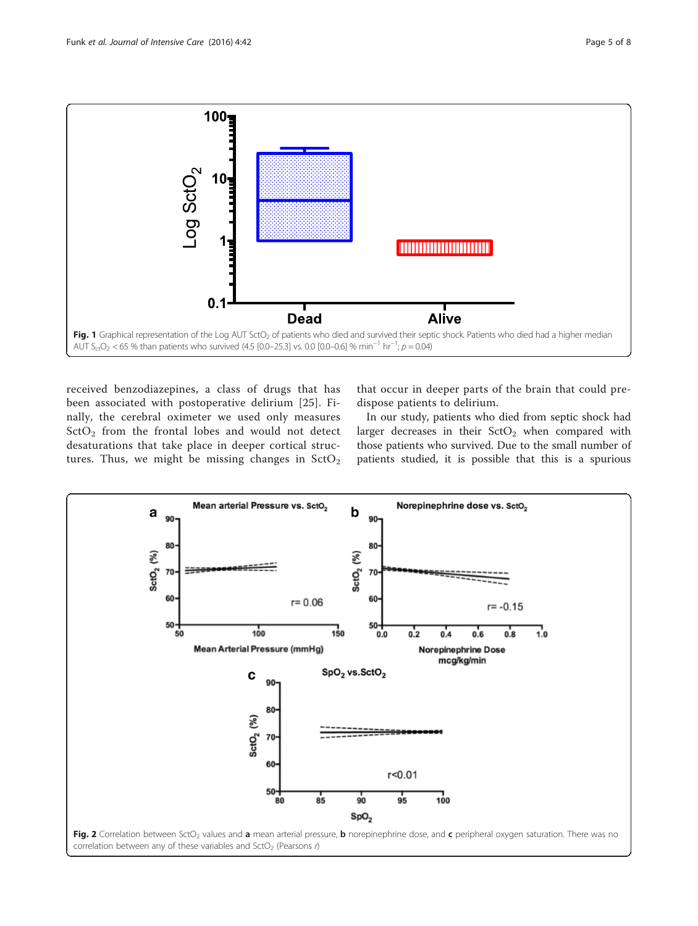<span id="page-4-0"></span>

received benzodiazepines, a class of drugs that has been associated with postoperative delirium [\[25\]](#page-7-0). Finally, the cerebral oximeter we used only measures  $StO<sub>2</sub>$  from the frontal lobes and would not detect desaturations that take place in deeper cortical structures. Thus, we might be missing changes in  $\text{SctO}_2$  that occur in deeper parts of the brain that could predispose patients to delirium.

In our study, patients who died from septic shock had larger decreases in their  $SctO<sub>2</sub>$  when compared with those patients who survived. Due to the small number of patients studied, it is possible that this is a spurious

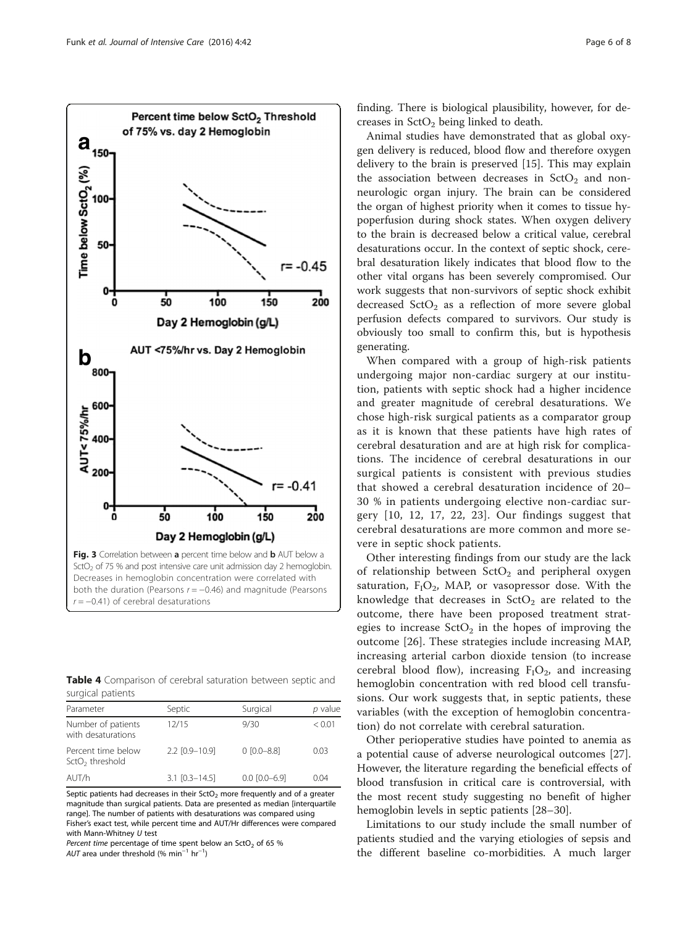<span id="page-5-0"></span>

Table 4 Comparison of cerebral saturation between septic and surgical patients

| Parameter                                         | Septic               | Surgical            | p value |  |  |
|---------------------------------------------------|----------------------|---------------------|---------|--|--|
| Number of patients<br>with desaturations          | 12/15                | 9/30                | < 0.01  |  |  |
| Percent time below<br>SctO <sub>2</sub> threshold | 2.2 [0.9-10.9]       | $0$ $[0.0 - 8.8]$   | 0.03    |  |  |
| AUT/h                                             | $3.1$ $[0.3 - 14.5]$ | $0.0$ $[0.0 - 6.9]$ | 0.04    |  |  |

Septic patients had decreases in their  $SctO<sub>2</sub>$  more frequently and of a greater magnitude than surgical patients. Data are presented as median [interquartile range]. The number of patients with desaturations was compared using Fisher's exact test, while percent time and AUT/Hr differences were compared with Mann-Whitney U test

Percent time percentage of time spent below an SctO<sub>2</sub> of 65 %

 $AUT$  area under threshold (% min $^{-1}$  hr $^{-1}$ )

finding. There is biological plausibility, however, for decreases in  $SctO<sub>2</sub>$  being linked to death.

Animal studies have demonstrated that as global oxygen delivery is reduced, blood flow and therefore oxygen delivery to the brain is preserved [[15](#page-6-0)]. This may explain the association between decreases in  $StO<sub>2</sub>$  and nonneurologic organ injury. The brain can be considered the organ of highest priority when it comes to tissue hypoperfusion during shock states. When oxygen delivery to the brain is decreased below a critical value, cerebral desaturations occur. In the context of septic shock, cerebral desaturation likely indicates that blood flow to the other vital organs has been severely compromised. Our work suggests that non-survivors of septic shock exhibit decreased  $\text{SctO}_2$  as a reflection of more severe global perfusion defects compared to survivors. Our study is obviously too small to confirm this, but is hypothesis generating.

When compared with a group of high-risk patients undergoing major non-cardiac surgery at our institution, patients with septic shock had a higher incidence and greater magnitude of cerebral desaturations. We chose high-risk surgical patients as a comparator group as it is known that these patients have high rates of cerebral desaturation and are at high risk for complications. The incidence of cerebral desaturations in our surgical patients is consistent with previous studies that showed a cerebral desaturation incidence of 20– 30 % in patients undergoing elective non-cardiac surgery [\[10, 12](#page-6-0), [17](#page-6-0), [22,](#page-6-0) [23\]](#page-7-0). Our findings suggest that cerebral desaturations are more common and more severe in septic shock patients.

Other interesting findings from our study are the lack of relationship between  $StO<sub>2</sub>$  and peripheral oxygen saturation,  $F_1O_2$ , MAP, or vasopressor dose. With the knowledge that decreases in  $StO<sub>2</sub>$  are related to the outcome, there have been proposed treatment strategies to increase  $SctO<sub>2</sub>$  in the hopes of improving the outcome [[26\]](#page-7-0). These strategies include increasing MAP, increasing arterial carbon dioxide tension (to increase cerebral blood flow), increasing  $F_1O_2$ , and increasing hemoglobin concentration with red blood cell transfusions. Our work suggests that, in septic patients, these variables (with the exception of hemoglobin concentration) do not correlate with cerebral saturation.

Other perioperative studies have pointed to anemia as a potential cause of adverse neurological outcomes [\[27](#page-7-0)]. However, the literature regarding the beneficial effects of blood transfusion in critical care is controversial, with the most recent study suggesting no benefit of higher hemoglobin levels in septic patients [\[28](#page-7-0)–[30\]](#page-7-0).

Limitations to our study include the small number of patients studied and the varying etiologies of sepsis and the different baseline co-morbidities. A much larger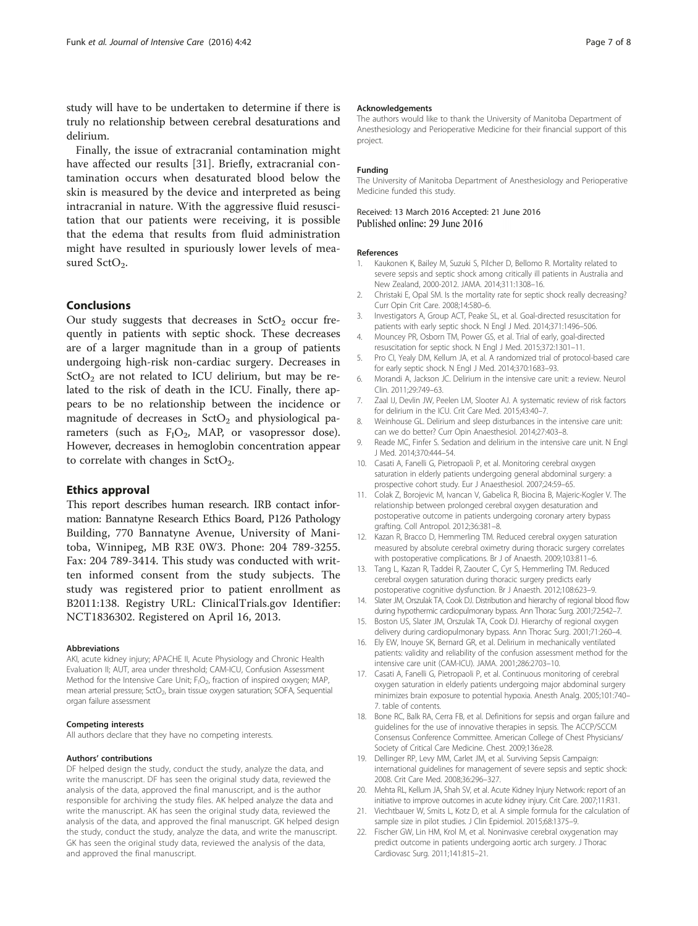<span id="page-6-0"></span>study will have to be undertaken to determine if there is truly no relationship between cerebral desaturations and delirium.

Finally, the issue of extracranial contamination might have affected our results [\[31](#page-7-0)]. Briefly, extracranial contamination occurs when desaturated blood below the skin is measured by the device and interpreted as being intracranial in nature. With the aggressive fluid resuscitation that our patients were receiving, it is possible that the edema that results from fluid administration might have resulted in spuriously lower levels of measured  $SctO<sub>2</sub>$ .

# Conclusions

Our study suggests that decreases in  $StO<sub>2</sub>$  occur frequently in patients with septic shock. These decreases are of a larger magnitude than in a group of patients undergoing high-risk non-cardiac surgery. Decreases in  $StO<sub>2</sub>$  are not related to ICU delirium, but may be related to the risk of death in the ICU. Finally, there appears to be no relationship between the incidence or magnitude of decreases in  $StO<sub>2</sub>$  and physiological parameters (such as  $F_1O_2$ , MAP, or vasopressor dose). However, decreases in hemoglobin concentration appear to correlate with changes in  $StO<sub>2</sub>$ .

## Ethics approval

This report describes human research. IRB contact information: Bannatyne Research Ethics Board, P126 Pathology Building, 770 Bannatyne Avenue, University of Manitoba, Winnipeg, MB R3E 0W3. Phone: 204 789-3255. Fax: 204 789-3414. This study was conducted with written informed consent from the study subjects. The study was registered prior to patient enrollment as B2011:138. Registry URL: ClinicalTrials.gov Identifier: NCT1836302. Registered on April 16, 2013.

#### Abbreviations

AKI, acute kidney injury; APACHE II, Acute Physiology and Chronic Health Evaluation II; AUT, area under threshold; CAM-ICU, Confusion Assessment Method for the Intensive Care Unit; F<sub>I</sub>O<sub>2</sub>, fraction of inspired oxygen; MAP, mean arterial pressure; SctO<sub>2</sub>, brain tissue oxygen saturation; SOFA, Sequential organ failure assessment

#### Competing interests

All authors declare that they have no competing interests.

#### Authors' contributions

DF helped design the study, conduct the study, analyze the data, and write the manuscript. DF has seen the original study data, reviewed the analysis of the data, approved the final manuscript, and is the author responsible for archiving the study files. AK helped analyze the data and write the manuscript. AK has seen the original study data, reviewed the analysis of the data, and approved the final manuscript. GK helped design the study, conduct the study, analyze the data, and write the manuscript. GK has seen the original study data, reviewed the analysis of the data, and approved the final manuscript.

#### Acknowledgements

The authors would like to thank the University of Manitoba Department of Anesthesiology and Perioperative Medicine for their financial support of this project.

#### Funding

The University of Manitoba Department of Anesthesiology and Perioperative Medicine funded this study.

# Received: 13 March 2016 Accepted: 21 June 2016<br>Published online: 29 June 2016

#### References

- 1. Kaukonen K, Bailey M, Suzuki S, Pilcher D, Bellomo R. Mortality related to severe sepsis and septic shock among critically ill patients in Australia and New Zealand, 2000-2012. JAMA. 2014;311:1308–16.
- 2. Christaki E, Opal SM. Is the mortality rate for septic shock really decreasing? Curr Opin Crit Care. 2008;14:580–6.
- 3. Investigators A, Group ACT, Peake SL, et al. Goal-directed resuscitation for patients with early septic shock. N Engl J Med. 2014;371:1496–506.
- 4. Mouncey PR, Osborn TM, Power GS, et al. Trial of early, goal-directed resuscitation for septic shock. N Engl J Med. 2015;372:1301–11.
- 5. Pro CI, Yealy DM, Kellum JA, et al. A randomized trial of protocol-based care for early septic shock. N Engl J Med. 2014;370:1683–93.
- 6. Morandi A, Jackson JC. Delirium in the intensive care unit: a review. Neurol Clin. 2011;29:749–63.
- 7. Zaal IJ, Devlin JW, Peelen LM, Slooter AJ. A systematic review of risk factors for delirium in the ICU. Crit Care Med. 2015;43:40–7.
- 8. Weinhouse GL. Delirium and sleep disturbances in the intensive care unit: can we do better? Curr Opin Anaesthesiol. 2014;27:403–8.
- 9. Reade MC, Finfer S. Sedation and delirium in the intensive care unit. N Engl J Med. 2014;370:444–54.
- 10. Casati A, Fanelli G, Pietropaoli P, et al. Monitoring cerebral oxygen saturation in elderly patients undergoing general abdominal surgery: a prospective cohort study. Eur J Anaesthesiol. 2007;24:59–65.
- 11. Colak Z, Borojevic M, Ivancan V, Gabelica R, Biocina B, Majeric-Kogler V. The relationship between prolonged cerebral oxygen desaturation and postoperative outcome in patients undergoing coronary artery bypass grafting. Coll Antropol. 2012;36:381–8.
- 12. Kazan R, Bracco D, Hemmerling TM. Reduced cerebral oxygen saturation measured by absolute cerebral oximetry during thoracic surgery correlates with postoperative complications. Br J of Anaesth. 2009;103:811–6.
- 13. Tang L, Kazan R, Taddei R, Zaouter C, Cyr S, Hemmerling TM. Reduced cerebral oxygen saturation during thoracic surgery predicts early postoperative cognitive dysfunction. Br J Anaesth. 2012;108:623–9.
- 14. Slater JM, Orszulak TA, Cook DJ. Distribution and hierarchy of regional blood flow during hypothermic cardiopulmonary bypass. Ann Thorac Surg. 2001;72:542–7.
- 15. Boston US, Slater JM, Orszulak TA, Cook DJ. Hierarchy of regional oxygen delivery during cardiopulmonary bypass. Ann Thorac Surg. 2001;71:260–4.
- 16. Ely EW, Inouye SK, Bernard GR, et al. Delirium in mechanically ventilated patients: validity and reliability of the confusion assessment method for the intensive care unit (CAM-ICU). JAMA. 2001;286:2703–10.
- 17. Casati A, Fanelli G, Pietropaoli P, et al. Continuous monitoring of cerebral oxygen saturation in elderly patients undergoing major abdominal surgery minimizes brain exposure to potential hypoxia. Anesth Analg. 2005;101:740– 7. table of contents.
- 18. Bone RC, Balk RA, Cerra FB, et al. Definitions for sepsis and organ failure and guidelines for the use of innovative therapies in sepsis. The ACCP/SCCM Consensus Conference Committee. American College of Chest Physicians/ Society of Critical Care Medicine. Chest. 2009;136:e28.
- 19. Dellinger RP, Levy MM, Carlet JM, et al. Surviving Sepsis Campaign: international guidelines for management of severe sepsis and septic shock: 2008. Crit Care Med. 2008;36:296–327.
- 20. Mehta RL, Kellum JA, Shah SV, et al. Acute Kidney Injury Network: report of an initiative to improve outcomes in acute kidney injury. Crit Care. 2007;11:R31.
- 21. Viechtbauer W, Smits L, Kotz D, et al. A simple formula for the calculation of sample size in pilot studies. J Clin Epidemiol. 2015;68:1375–9.
- 22. Fischer GW, Lin HM, Krol M, et al. Noninvasive cerebral oxygenation may predict outcome in patients undergoing aortic arch surgery. J Thorac Cardiovasc Surg. 2011;141:815–21.